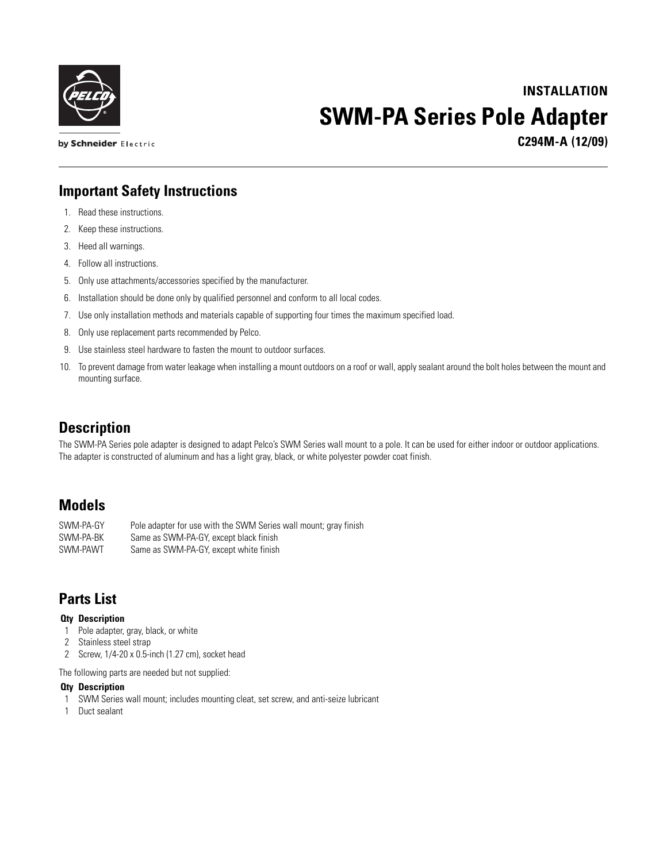

**INSTALLATION SWM-PA Series Pole Adapter**

**C294M-A (12/09)**

### **Important Safety Instructions**

1. Read these instructions.

by Schneider Electric

- 2. Keep these instructions.
- 3. Heed all warnings.
- 4. Follow all instructions.
- 5. Only use attachments/accessories specified by the manufacturer.
- 6. Installation should be done only by qualified personnel and conform to all local codes.
- 7. Use only installation methods and materials capable of supporting four times the maximum specified load.
- 8. Only use replacement parts recommended by Pelco.
- 9. Use stainless steel hardware to fasten the mount to outdoor surfaces.
- 10. To prevent damage from water leakage when installing a mount outdoors on a roof or wall, apply sealant around the bolt holes between the mount and mounting surface.

## **Description**

The SWM-PA Series pole adapter is designed to adapt Pelco's SWM Series wall mount to a pole. It can be used for either indoor or outdoor applications. The adapter is constructed of aluminum and has a light gray, black, or white polyester powder coat finish.

# **Models**

SWM-PA-GY Pole adapter for use with the SWM Series wall mount; gray finish SWM-PA-BK Same as SWM-PA-GY, except black finish SWM-PAWT Same as SWM-PA-GY, except white finish

# **Parts List**

#### **Qty Description**

- 1 Pole adapter, gray, black, or white
- 2 Stainless steel strap
- 2 Screw, 1/4-20 x 0.5-inch (1.27 cm), socket head

The following parts are needed but not supplied:

#### **Qty Description**

- 1 SWM Series wall mount; includes mounting cleat, set screw, and anti-seize lubricant
- 1 Duct sealant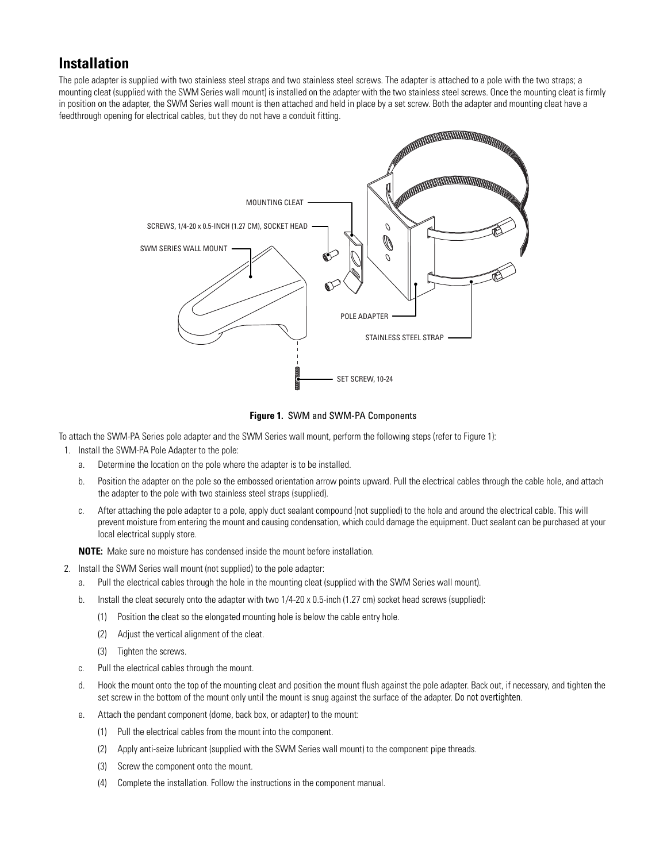## **Installation**

The pole adapter is supplied with two stainless steel straps and two stainless steel screws. The adapter is attached to a pole with the two straps; a mounting cleat (supplied with the SWM Series wall mount) is installed on the adapter with the two stainless steel screws. Once the mounting cleat is firmly in position on the adapter, the SWM Series wall mount is then attached and held in place by a set screw. Both the adapter and mounting cleat have a feedthrough opening for electrical cables, but they do not have a conduit fitting.



**Figure 1.** SWM and SWM-PA Components

<span id="page-1-0"></span>To attach the SWM-PA Series pole adapter and the SWM Series wall mount, perform the following steps (refer to [Figure 1\)](#page-1-0):

- 1. Install the SWM-PA Pole Adapter to the pole:
	- a. Determine the location on the pole where the adapter is to be installed.
	- b. Position the adapter on the pole so the embossed orientation arrow points upward. Pull the electrical cables through the cable hole, and attach the adapter to the pole with two stainless steel straps (supplied).
	- c. After attaching the pole adapter to a pole, apply duct sealant compound (not supplied) to the hole and around the electrical cable. This will prevent moisture from entering the mount and causing condensation, which could damage the equipment. Duct sealant can be purchased at your local electrical supply store.

**NOTE:** Make sure no moisture has condensed inside the mount before installation.

- 2. Install the SWM Series wall mount (not supplied) to the pole adapter:
	- a. Pull the electrical cables through the hole in the mounting cleat (supplied with the SWM Series wall mount).
	- b. Install the cleat securely onto the adapter with two 1/4-20 x 0.5-inch (1.27 cm) socket head screws (supplied):
		- (1) Position the cleat so the elongated mounting hole is below the cable entry hole.
		- (2) Adjust the vertical alignment of the cleat.
		- (3) Tighten the screws.
	- c. Pull the electrical cables through the mount.
	- d. Hook the mount onto the top of the mounting cleat and position the mount flush against the pole adapter. Back out, if necessary, and tighten the set screw in the bottom of the mount only until the mount is snug against the surface of the adapter. *Do not overtighten*.
	- e. Attach the pendant component (dome, back box, or adapter) to the mount:
		- (1) Pull the electrical cables from the mount into the component.
		- (2) Apply anti-seize lubricant (supplied with the SWM Series wall mount) to the component pipe threads.
		- (3) Screw the component onto the mount.
		- (4) Complete the installation. Follow the instructions in the component manual.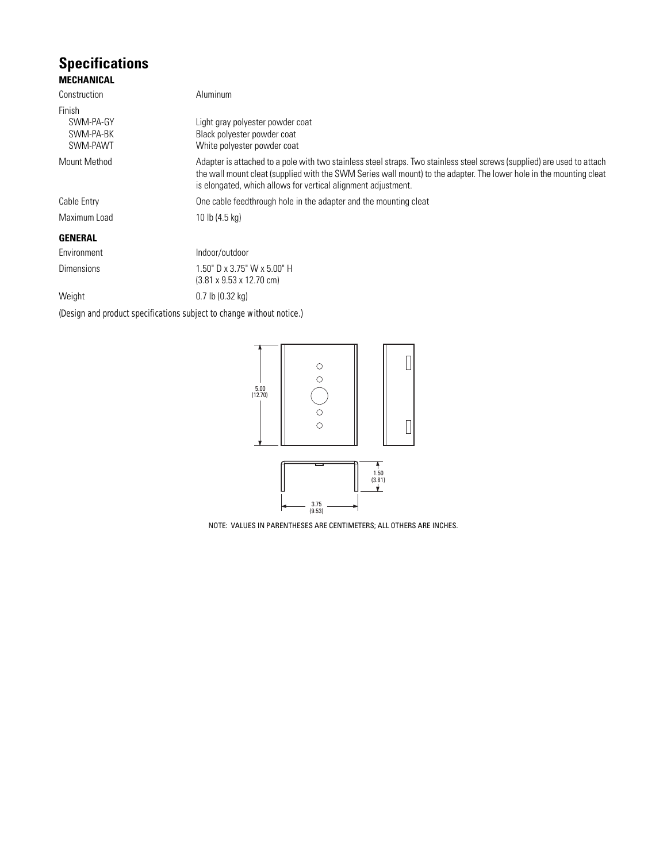### **Specifications MECHANICAL**

| Construction                                 | Aluminum                                                                                                                                                                                                                                                                                                        |  |
|----------------------------------------------|-----------------------------------------------------------------------------------------------------------------------------------------------------------------------------------------------------------------------------------------------------------------------------------------------------------------|--|
| Finish<br>SWM-PA-GY<br>SWM-PA-BK<br>SWM-PAWT | Light gray polyester powder coat<br>Black polyester powder coat<br>White polyester powder coat                                                                                                                                                                                                                  |  |
| Mount Method                                 | Adapter is attached to a pole with two stainless steel straps. Two stainless steel screws (supplied) are used to attach<br>the wall mount cleat (supplied with the SWM Series wall mount) to the adapter. The lower hole in the mounting cleat<br>is elongated, which allows for vertical alignment adjustment. |  |
| Cable Entry                                  | One cable feedthrough hole in the adapter and the mounting cleat                                                                                                                                                                                                                                                |  |
| Maximum Load                                 | 10 lb (4.5 kg)                                                                                                                                                                                                                                                                                                  |  |
| <b>GENERAL</b>                               |                                                                                                                                                                                                                                                                                                                 |  |
| Environment                                  | Indoor/outdoor                                                                                                                                                                                                                                                                                                  |  |
| <b>Dimensions</b>                            | 1.50" D x 3.75" W x 5.00" H<br>$(3.81 \times 9.53 \times 12.70 \text{ cm})$                                                                                                                                                                                                                                     |  |
| Weight                                       | $0.7$ lb $(0.32$ kg)                                                                                                                                                                                                                                                                                            |  |

*(Design and product specifications subject to change without notice.)*



NOTE: VALUES IN PARENTHESES ARE CENTIMETERS; ALL OTHERS ARE INCHES.